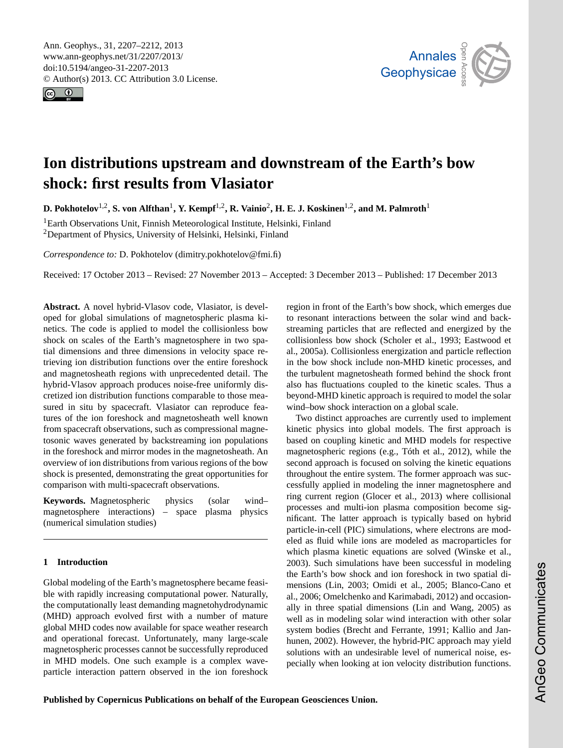<span id="page-0-0"></span>Ann. Geophys., 31, 2207–2212, 2013 www.ann-geophys.net/31/2207/2013/ doi:10.5194/angeo-31-2207-2013 © Author(s) 2013. CC Attribution 3.0 License.





# **Ion distributions upstream and downstream of the Earth's bow shock: first results from Vlasiator**

**D. Pokhotelov**1,2**, S. von Alfthan**<sup>1</sup> **, Y. Kempf**1,2**, R. Vainio**<sup>2</sup> **, H. E. J. Koskinen**1,2**, and M. Palmroth**<sup>1</sup>

<sup>1</sup>Earth Observations Unit, Finnish Meteorological Institute, Helsinki, Finland <sup>2</sup>Department of Physics, University of Helsinki, Helsinki, Finland

*Correspondence to:* D. Pokhotelov (dimitry.pokhotelov@fmi.fi)

Received: 17 October 2013 – Revised: 27 November 2013 – Accepted: 3 December 2013 – Published: 17 December 2013

**Abstract.** A novel hybrid-Vlasov code, Vlasiator, is developed for global simulations of magnetospheric plasma kinetics. The code is applied to model the collisionless bow shock on scales of the Earth's magnetosphere in two spatial dimensions and three dimensions in velocity space retrieving ion distribution functions over the entire foreshock and magnetosheath regions with unprecedented detail. The hybrid-Vlasov approach produces noise-free uniformly discretized ion distribution functions comparable to those measured in situ by spacecraft. Vlasiator can reproduce features of the ion foreshock and magnetosheath well known from spacecraft observations, such as compressional magnetosonic waves generated by backstreaming ion populations in the foreshock and mirror modes in the magnetosheath. An overview of ion distributions from various regions of the bow shock is presented, demonstrating the great opportunities for comparison with multi-spacecraft observations.

**Keywords.** Magnetospheric physics (solar wind– magnetosphere interactions) – space plasma physics (numerical simulation studies)

# **1 Introduction**

Global modeling of the Earth's magnetosphere became feasible with rapidly increasing computational power. Naturally, the computationally least demanding magnetohydrodynamic (MHD) approach evolved first with a number of mature global MHD codes now available for space weather research and operational forecast. Unfortunately, many large-scale magnetospheric processes cannot be successfully reproduced in MHD models. One such example is a complex waveparticle interaction pattern observed in the ion foreshock

region in front of the Earth's bow shock, which emerges due to resonant interactions between the solar wind and backstreaming particles that are reflected and energized by the collisionless bow shock [\(Scholer et al.,](#page-5-0) [1993;](#page-5-0) [Eastwood et](#page-4-0) [al.,](#page-4-0) [2005a\)](#page-4-0). Collisionless energization and particle reflection in the bow shock include non-MHD kinetic processes, and the turbulent magnetosheath formed behind the shock front also has fluctuations coupled to the kinetic scales. Thus a beyond-MHD kinetic approach is required to model the solar wind–bow shock interaction on a global scale.

Two distinct approaches are currently used to implement kinetic physics into global models. The first approach is based on coupling kinetic and MHD models for respective magnetospheric regions (e.g., [Tóth et al.,](#page-5-1) [2012\)](#page-5-1), while the second approach is focused on solving the kinetic equations throughout the entire system. The former approach was successfully applied in modeling the inner magnetosphere and ring current region [\(Glocer et al.,](#page-4-1) [2013\)](#page-4-1) where collisional processes and multi-ion plasma composition become significant. The latter approach is typically based on hybrid particle-in-cell (PIC) simulations, where electrons are modeled as fluid while ions are modeled as macroparticles for which plasma kinetic equations are solved [\(Winske et al.,](#page-5-2) [2003\)](#page-5-2). Such simulations have been successful in modeling the Earth's bow shock and ion foreshock in two spatial dimensions [\(Lin,](#page-5-3) [2003;](#page-5-3) [Omidi et al.,](#page-5-4) [2005;](#page-5-4) [Blanco-Cano et](#page-4-2) [al.,](#page-4-2) [2006;](#page-4-2) [Omelchenko and Karimabadi,](#page-5-5) [2012\)](#page-5-5) and occasionally in three spatial dimensions [\(Lin and Wang,](#page-5-6) [2005\)](#page-5-6) as well as in modeling solar wind interaction with other solar system bodies [\(Brecht and Ferrante,](#page-4-3) [1991;](#page-4-3) [Kallio and Jan](#page-4-4)[hunen,](#page-4-4) [2002\)](#page-4-4). However, the hybrid-PIC approach may yield solutions with an undesirable level of numerical noise, especially when looking at ion velocity distribution functions.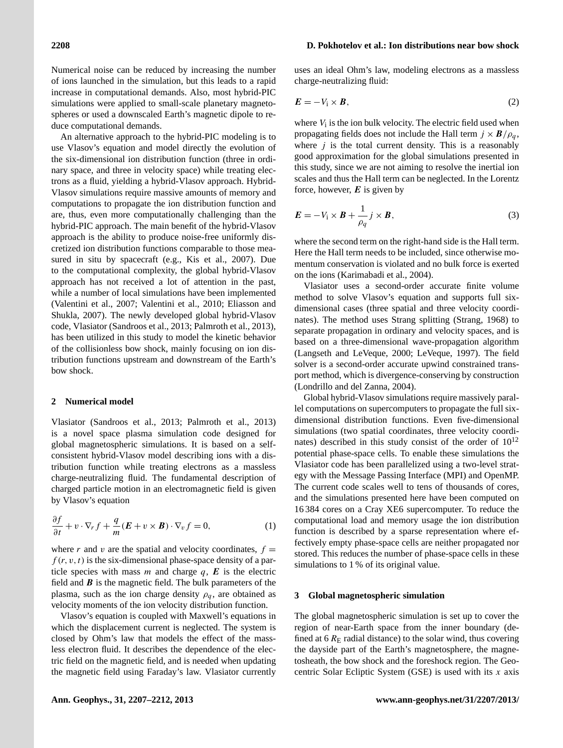Numerical noise can be reduced by increasing the number of ions launched in the simulation, but this leads to a rapid increase in computational demands. Also, most hybrid-PIC simulations were applied to small-scale planetary magnetospheres or used a downscaled Earth's magnetic dipole to reduce computational demands.

An alternative approach to the hybrid-PIC modeling is to use Vlasov's equation and model directly the evolution of the six-dimensional ion distribution function (three in ordinary space, and three in velocity space) while treating electrons as a fluid, yielding a hybrid-Vlasov approach. Hybrid-Vlasov simulations require massive amounts of memory and computations to propagate the ion distribution function and are, thus, even more computationally challenging than the hybrid-PIC approach. The main benefit of the hybrid-Vlasov approach is the ability to produce noise-free uniformly discretized ion distribution functions comparable to those measured in situ by spacecraft (e.g., [Kis et al.,](#page-4-5) [2007\)](#page-4-5). Due to the computational complexity, the global hybrid-Vlasov approach has not received a lot of attention in the past, while a number of local simulations have been implemented [\(Valentini et al.,](#page-5-7) [2007;](#page-5-7) [Valentini et al.,](#page-5-8) [2010;](#page-5-8) [Eliasson and](#page-4-6) [Shukla,](#page-4-6) [2007\)](#page-4-6). The newly developed global hybrid-Vlasov code, Vlasiator [\(Sandroos et al.,](#page-5-9) [2013;](#page-5-9) [Palmroth et al.,](#page-5-10) [2013\)](#page-5-10), has been utilized in this study to model the kinetic behavior of the collisionless bow shock, mainly focusing on ion distribution functions upstream and downstream of the Earth's bow shock.

# **2 Numerical model**

Vlasiator [\(Sandroos et al.,](#page-5-9) [2013;](#page-5-9) [Palmroth et al.,](#page-5-10) [2013\)](#page-5-10) is a novel space plasma simulation code designed for global magnetospheric simulations. It is based on a selfconsistent hybrid-Vlasov model describing ions with a distribution function while treating electrons as a massless charge-neutralizing fluid. The fundamental description of charged particle motion in an electromagnetic field is given by Vlasov's equation

$$
\frac{\partial f}{\partial t} + v \cdot \nabla_r f + \frac{q}{m} (E + v \times \boldsymbol{B}) \cdot \nabla_v f = 0,
$$
 (1)

where r and v are the spatial and velocity coordinates,  $f =$  $f(r, v, t)$  is the six-dimensional phase-space density of a particle species with mass  $m$  and charge  $q$ ,  $E$  is the electric field and  $\bm{B}$  is the magnetic field. The bulk parameters of the plasma, such as the ion charge density  $\rho_q$ , are obtained as velocity moments of the ion velocity distribution function.

Vlasov's equation is coupled with Maxwell's equations in which the displacement current is neglected. The system is closed by Ohm's law that models the effect of the massless electron fluid. It describes the dependence of the electric field on the magnetic field, and is needed when updating the magnetic field using Faraday's law. Vlasiator currently uses an ideal Ohm's law, modeling electrons as a massless charge-neutralizing fluid:

$$
E = -V_1 \times B,\tag{2}
$$

where  $V_i$  is the ion bulk velocity. The electric field used when propagating fields does not include the Hall term  $j \times B/\rho_q$ , where  $j$  is the total current density. This is a reasonably good approximation for the global simulations presented in this study, since we are not aiming to resolve the inertial ion scales and thus the Hall term can be neglected. In the Lorentz force, however,  $E$  is given by

$$
E = -V_i \times B + \frac{1}{\rho_q} j \times B, \tag{3}
$$

where the second term on the right-hand side is the Hall term. Here the Hall term needs to be included, since otherwise momentum conservation is violated and no bulk force is exerted on the ions [\(Karimabadi et al.,](#page-4-7) [2004\)](#page-4-7).

Vlasiator uses a second-order accurate finite volume method to solve Vlasov's equation and supports full sixdimensional cases (three spatial and three velocity coordinates). The method uses Strang splitting [\(Strang,](#page-5-11) [1968\)](#page-5-11) to separate propagation in ordinary and velocity spaces, and is based on a three-dimensional wave-propagation algorithm [\(Langseth and LeVeque,](#page-5-12) [2000;](#page-5-12) [LeVeque,](#page-5-13) [1997\)](#page-5-13). The field solver is a second-order accurate upwind constrained transport method, which is divergence-conserving by construction [\(Londrillo and del Zanna,](#page-5-14) [2004\)](#page-5-14).

Global hybrid-Vlasov simulations require massively parallel computations on supercomputers to propagate the full sixdimensional distribution functions. Even five-dimensional simulations (two spatial coordinates, three velocity coordinates) described in this study consist of the order of  $10^{12}$ potential phase-space cells. To enable these simulations the Vlasiator code has been parallelized using a two-level strategy with the Message Passing Interface (MPI) and OpenMP. The current code scales well to tens of thousands of cores, and the simulations presented here have been computed on 16 384 cores on a Cray XE6 supercomputer. To reduce the computational load and memory usage the ion distribution function is described by a sparse representation where effectively empty phase-space cells are neither propagated nor stored. This reduces the number of phase-space cells in these simulations to 1 % of its original value.

#### **3 Global magnetospheric simulation**

The global magnetospheric simulation is set up to cover the region of near-Earth space from the inner boundary (defined at 6  $R<sub>E</sub>$  radial distance) to the solar wind, thus covering the dayside part of the Earth's magnetosphere, the magnetosheath, the bow shock and the foreshock region. The Geocentric Solar Ecliptic System (GSE) is used with its  $x$  axis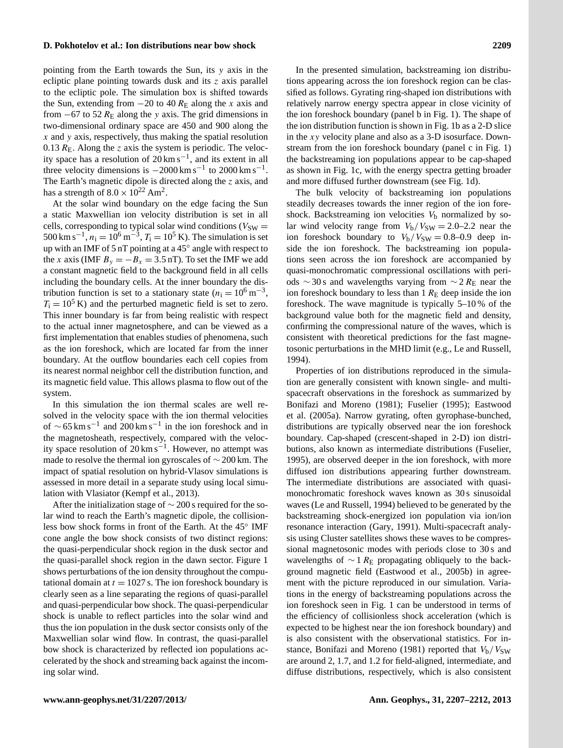pointing from the Earth towards the Sun, its y axis in the ecliptic plane pointing towards dusk and its  $z$  axis parallel to the ecliptic pole. The simulation box is shifted towards the Sun, extending from  $-20$  to 40  $R<sub>E</sub>$  along the x axis and from  $-67$  to 52  $R<sub>E</sub>$  along the y axis. The grid dimensions in two-dimensional ordinary space are 450 and 900 along the  $x$  and  $y$  axis, respectively, thus making the spatial resolution 0.13  $R<sub>E</sub>$ . Along the z axis the system is periodic. The velocity space has a resolution of  $20 \text{ km s}^{-1}$ , and its extent in all three velocity dimensions is  $-2000 \text{ km s}^{-1}$  to  $2000 \text{ km s}^{-1}$ . The Earth's magnetic dipole is directed along the  $\zeta$  axis, and has a strength of  $8.0 \times 10^{22}$  Am<sup>2</sup>.

At the solar wind boundary on the edge facing the Sun a static Maxwellian ion velocity distribution is set in all cells, corresponding to typical solar wind conditions ( $V_{SW}$  = 500 km s<sup>-1</sup>,  $n_i = 10^6$  m<sup>-3</sup>,  $T_i = 10^5$  K). The simulation is set up with an IMF of 5 nT pointing at a 45° angle with respect to the x axis (IMF  $B_y = -B_x = 3.5$  nT). To set the IMF we add a constant magnetic field to the background field in all cells including the boundary cells. At the inner boundary the distribution function is set to a stationary state  $(n_i = 10^6 \text{ m}^{-3})$ ,  $T<sub>i</sub> = 10<sup>5</sup>$  K) and the perturbed magnetic field is set to zero. This inner boundary is far from being realistic with respect to the actual inner magnetosphere, and can be viewed as a first implementation that enables studies of phenomena, such as the ion foreshock, which are located far from the inner boundary. At the outflow boundaries each cell copies from its nearest normal neighbor cell the distribution function, and its magnetic field value. This allows plasma to flow out of the system.

In this simulation the ion thermal scales are well resolved in the velocity space with the ion thermal velocities of  $\sim$  65 km s<sup>-1</sup> and 200 km s<sup>-1</sup> in the ion foreshock and in the magnetosheath, respectively, compared with the velocity space resolution of 20 km s−<sup>1</sup> . However, no attempt was made to resolve the thermal ion gyroscales of ∼ 200 km. The impact of spatial resolution on hybrid-Vlasov simulations is assessed in more detail in a separate study using local simulation with Vlasiator [\(Kempf et al.,](#page-4-8) [2013\)](#page-4-8).

After the initialization stage of ∼ 200 s required for the solar wind to reach the Earth's magnetic dipole, the collisionless bow shock forms in front of the Earth. At the 45◦ IMF cone angle the bow shock consists of two distinct regions: the quasi-perpendicular shock region in the dusk sector and the quasi-parallel shock region in the dawn sector. Figure 1 shows perturbations of the ion density throughout the computational domain at  $t = 1027$  s. The ion foreshock boundary is clearly seen as a line separating the regions of quasi-parallel and quasi-perpendicular bow shock. The quasi-perpendicular shock is unable to reflect particles into the solar wind and thus the ion population in the dusk sector consists only of the Maxwellian solar wind flow. In contrast, the quasi-parallel bow shock is characterized by reflected ion populations accelerated by the shock and streaming back against the incoming solar wind.

In the presented simulation, backstreaming ion distributions appearing across the ion foreshock region can be classified as follows. Gyrating ring-shaped ion distributions with relatively narrow energy spectra appear in close vicinity of the ion foreshock boundary (panel b in Fig. 1). The shape of the ion distribution function is shown in Fig. 1b as a 2-D slice in the  $xy$  velocity plane and also as a 3-D isosurface. Downstream from the ion foreshock boundary (panel c in Fig. 1) the backstreaming ion populations appear to be cap-shaped as shown in Fig. 1c, with the energy spectra getting broader and more diffused further downstream (see Fig. 1d).

The bulk velocity of backstreaming ion populations steadily decreases towards the inner region of the ion foreshock. Backstreaming ion velocities  $V<sub>b</sub>$  normalized by solar wind velocity range from  $V_b/V_{SW} = 2.0{\text -}2.2$  near the ion foreshock boundary to  $V_b/V_{SW} = 0.8-0.9$  deep inside the ion foreshock. The backstreaming ion populations seen across the ion foreshock are accompanied by quasi-monochromatic compressional oscillations with periods ∼30 s and wavelengths varying from ∼2 R<sub>E</sub> near the ion foreshock boundary to less than  $1 R<sub>E</sub>$  deep inside the ion foreshock. The wave magnitude is typically 5–10 % of the background value both for the magnetic field and density, confirming the compressional nature of the waves, which is consistent with theoretical predictions for the fast magnetosonic perturbations in the MHD limit (e.g., [Le and Russell,](#page-5-15) [1994\)](#page-5-15).

Properties of ion distributions reproduced in the simulation are generally consistent with known single- and multispacecraft observations in the foreshock as summarized by [Bonifazi and Moreno](#page-4-9) [\(1981\)](#page-4-9); [Fuselier](#page-4-10) [\(1995\)](#page-4-10); [Eastwood](#page-4-0) [et al.](#page-4-0) [\(2005a\)](#page-4-0). Narrow gyrating, often gyrophase-bunched, distributions are typically observed near the ion foreshock boundary. Cap-shaped (crescent-shaped in 2-D) ion distributions, also known as intermediate distributions [\(Fuselier,](#page-4-10) [1995\)](#page-4-10), are observed deeper in the ion foreshock, with more diffused ion distributions appearing further downstream. The intermediate distributions are associated with quasimonochromatic foreshock waves known as 30 s sinusoidal waves [\(Le and Russell,](#page-5-15) [1994\)](#page-5-15) believed to be generated by the backstreaming shock-energized ion population via ion/ion resonance interaction [\(Gary,](#page-4-11) [1991\)](#page-4-11). Multi-spacecraft analysis using Cluster satellites shows these waves to be compressional magnetosonic modes with periods close to 30 s and wavelengths of  $\sim 1 R_{\rm E}$  propagating obliquely to the background magnetic field [\(Eastwood et al.,](#page-4-12) [2005b\)](#page-4-12) in agreement with the picture reproduced in our simulation. Variations in the energy of backstreaming populations across the ion foreshock seen in Fig. 1 can be understood in terms of the efficiency of collisionless shock acceleration (which is expected to be highest near the ion foreshock boundary) and is also consistent with the observational statistics. For in-stance, [Bonifazi and Moreno](#page-4-9) [\(1981\)](#page-4-9) reported that  $V_b/V_{SW}$ are around 2, 1.7, and 1.2 for field-aligned, intermediate, and diffuse distributions, respectively, which is also consistent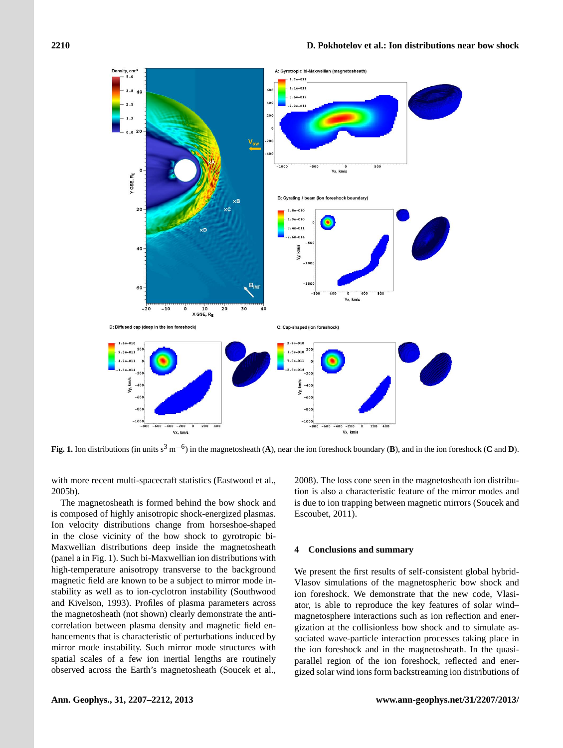

**Fig. 1.** Ion distributions (in units s<sup>3</sup> m−<sup>6</sup> ) in the magnetosheath (**A**), near the ion foreshock boundary (**B**), and in the ion foreshock (**C** and **D**).

with more recent multi-spacecraft statistics [\(Eastwood et al.,](#page-4-12) [2005b\)](#page-4-12).

The magnetosheath is formed behind the bow shock and is composed of highly anisotropic shock-energized plasmas. Ion velocity distributions change from horseshoe-shaped in the close vicinity of the bow shock to gyrotropic bi-Maxwellian distributions deep inside the magnetosheath (panel a in Fig. 1). Such bi-Maxwellian ion distributions with high-temperature anisotropy transverse to the background magnetic field are known to be a subject to mirror mode instability as well as to ion-cyclotron instability [\(Southwood](#page-5-16) [and Kivelson,](#page-5-16) [1993\)](#page-5-16). Profiles of plasma parameters across the magnetosheath (not shown) clearly demonstrate the anticorrelation between plasma density and magnetic field enhancements that is characteristic of perturbations induced by mirror mode instability. Such mirror mode structures with spatial scales of a few ion inertial lengths are routinely observed across the Earth's magnetosheath [\(Soucek et al.,](#page-5-17)

[2008\)](#page-5-17). The loss cone seen in the magnetosheath ion distribution is also a characteristic feature of the mirror modes and is due to ion trapping between magnetic mirrors [\(Soucek and](#page-5-18) [Escoubet,](#page-5-18) [2011\)](#page-5-18).

## **4 Conclusions and summary**

We present the first results of self-consistent global hybrid-Vlasov simulations of the magnetospheric bow shock and ion foreshock. We demonstrate that the new code, Vlasiator, is able to reproduce the key features of solar wind– magnetosphere interactions such as ion reflection and energization at the collisionless bow shock and to simulate associated wave-particle interaction processes taking place in the ion foreshock and in the magnetosheath. In the quasiparallel region of the ion foreshock, reflected and energized solar wind ions form backstreaming ion distributions of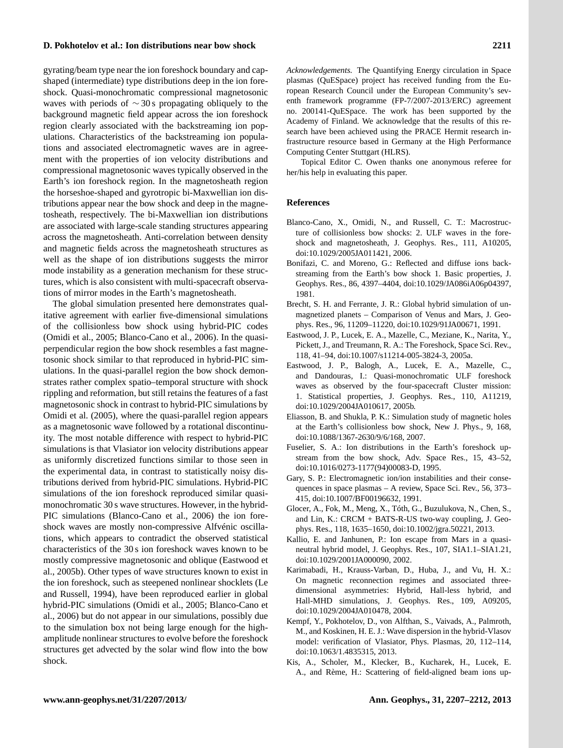# **D. Pokhotelov et al.: Ion distributions near bow shock 2211**

gyrating/beam type near the ion foreshock boundary and capshaped (intermediate) type distributions deep in the ion foreshock. Quasi-monochromatic compressional magnetosonic waves with periods of ∼ 30 s propagating obliquely to the background magnetic field appear across the ion foreshock region clearly associated with the backstreaming ion populations. Characteristics of the backstreaming ion populations and associated electromagnetic waves are in agreement with the properties of ion velocity distributions and compressional magnetosonic waves typically observed in the Earth's ion foreshock region. In the magnetosheath region the horseshoe-shaped and gyrotropic bi-Maxwellian ion distributions appear near the bow shock and deep in the magnetosheath, respectively. The bi-Maxwellian ion distributions are associated with large-scale standing structures appearing across the magnetosheath. Anti-correlation between density and magnetic fields across the magnetosheath structures as well as the shape of ion distributions suggests the mirror mode instability as a generation mechanism for these structures, which is also consistent with multi-spacecraft observations of mirror modes in the Earth's magnetosheath.

The global simulation presented here demonstrates qualitative agreement with earlier five-dimensional simulations of the collisionless bow shock using hybrid-PIC codes [\(Omidi et al.,](#page-5-4) [2005;](#page-5-4) [Blanco-Cano et al.,](#page-4-2) [2006\)](#page-4-2). In the quasiperpendicular region the bow shock resembles a fast magnetosonic shock similar to that reproduced in hybrid-PIC simulations. In the quasi-parallel region the bow shock demonstrates rather complex spatio–temporal structure with shock rippling and reformation, but still retains the features of a fast magnetosonic shock in contrast to hybrid-PIC simulations by [Omidi et al.](#page-5-4) [\(2005\)](#page-5-4), where the quasi-parallel region appears as a magnetosonic wave followed by a rotational discontinuity. The most notable difference with respect to hybrid-PIC simulations is that Vlasiator ion velocity distributions appear as uniformly discretized functions similar to those seen in the experimental data, in contrast to statistically noisy distributions derived from hybrid-PIC simulations. Hybrid-PIC simulations of the ion foreshock reproduced similar quasimonochromatic 30 s wave structures. However, in the hybrid-PIC simulations [\(Blanco-Cano et al.,](#page-4-2) [2006\)](#page-4-2) the ion foreshock waves are mostly non-compressive Alfvénic oscillations, which appears to contradict the observed statistical characteristics of the 30 s ion foreshock waves known to be mostly compressive magnetosonic and oblique [\(Eastwood et](#page-4-12) [al.,](#page-4-12) [2005b\)](#page-4-12). Other types of wave structures known to exist in the ion foreshock, such as steepened nonlinear shocklets [\(Le](#page-5-15) [and Russell,](#page-5-15) [1994\)](#page-5-15), have been reproduced earlier in global hybrid-PIC simulations [\(Omidi et al.,](#page-5-4) [2005;](#page-5-4) [Blanco-Cano et](#page-4-2) [al.,](#page-4-2) [2006\)](#page-4-2) but do not appear in our simulations, possibly due to the simulation box not being large enough for the highamplitude nonlinear structures to evolve before the foreshock structures get advected by the solar wind flow into the bow shock.

*Acknowledgements.* The Quantifying Energy circulation in Space plasmas (QuESpace) project has received funding from the European Research Council under the European Community's seventh framework programme (FP-7/2007-2013/ERC) agreement no. 200141-QuESpace. The work has been supported by the Academy of Finland. We acknowledge that the results of this research have been achieved using the PRACE Hermit research infrastructure resource based in Germany at the High Performance Computing Center Stuttgart (HLRS).

Topical Editor C. Owen thanks one anonymous referee for her/his help in evaluating this paper.

### **References**

- <span id="page-4-2"></span>Blanco-Cano, X., Omidi, N., and Russell, C. T.: Macrostructure of collisionless bow shocks: 2. ULF waves in the foreshock and magnetosheath, J. Geophys. Res., 111, A10205, doi[:10.1029/2005JA011421,](http://dx.doi.org/10.1029/2005JA011421) 2006.
- <span id="page-4-9"></span>Bonifazi, C. and Moreno, G.: Reflected and diffuse ions backstreaming from the Earth's bow shock 1. Basic properties, J. Geophys. Res., 86, 4397–4404, doi[:10.1029/JA086iA06p04397,](http://dx.doi.org/10.1029/JA086iA06p04397) 1981.
- <span id="page-4-3"></span>Brecht, S. H. and Ferrante, J. R.: Global hybrid simulation of unmagnetized planets – Comparison of Venus and Mars, J. Geophys. Res., 96, 11209–11220, doi[:10.1029/91JA00671,](http://dx.doi.org/10.1029/91JA00671) 1991.
- <span id="page-4-0"></span>Eastwood, J. P., Lucek, E. A., Mazelle, C., Meziane, K., Narita, Y., Pickett, J., and Treumann, R. A.: The Foreshock, Space Sci. Rev., 118, 41–94, doi[:10.1007/s11214-005-3824-3,](http://dx.doi.org/10.1007/s11214-005-3824-3) 2005a.
- <span id="page-4-12"></span>Eastwood, J. P., Balogh, A., Lucek, E. A., Mazelle, C., and Dandouras, I.: Quasi-monochromatic ULF foreshock waves as observed by the four-spacecraft Cluster mission: 1. Statistical properties, J. Geophys. Res., 110, A11219, doi[:10.1029/2004JA010617,](http://dx.doi.org/10.1029/2004JA010617) 2005b.
- <span id="page-4-6"></span>Eliasson, B. and Shukla, P. K.: Simulation study of magnetic holes at the Earth's collisionless bow shock, New J. Phys., 9, 168, doi[:10.1088/1367-2630/9/6/168,](http://dx.doi.org/10.1088/1367-2630/9/6/168) 2007.
- <span id="page-4-10"></span>Fuselier, S. A.: Ion distributions in the Earth's foreshock upstream from the bow shock, Adv. Space Res., 15, 43–52, doi[:10.1016/0273-1177\(94\)00083-D,](http://dx.doi.org/10.1016/0273-1177(94)00083-D) 1995.
- <span id="page-4-11"></span>Gary, S. P.: Electromagnetic ion/ion instabilities and their consequences in space plasmas – A review, Space Sci. Rev., 56, 373– 415, doi[:10.1007/BF00196632,](http://dx.doi.org/10.1007/BF00196632) 1991.
- <span id="page-4-1"></span>Glocer, A., Fok, M., Meng, X., Tóth, G., Buzulukova, N., Chen, S., and Lin, K.: CRCM + BATS-R-US two-way coupling, J. Geophys. Res., 118, 1635–1650, doi[:10.1002/jgra.50221,](http://dx.doi.org/10.1002/jgra.50221) 2013.
- <span id="page-4-4"></span>Kallio, E. and Janhunen, P.: Ion escape from Mars in a quasineutral hybrid model, J. Geophys. Res., 107, SIA1.1–SIA1.21, doi[:10.1029/2001JA000090,](http://dx.doi.org/10.1029/2001JA000090) 2002.
- <span id="page-4-7"></span>Karimabadi, H., Krauss-Varban, D., Huba, J., and Vu, H. X.: On magnetic reconnection regimes and associated threedimensional asymmetries: Hybrid, Hall-less hybrid, and Hall-MHD simulations, J. Geophys. Res., 109, A09205, doi[:10.1029/2004JA010478,](http://dx.doi.org/10.1029/2004JA010478) 2004.
- <span id="page-4-8"></span>Kempf, Y., Pokhotelov, D., von Alfthan, S., Vaivads, A., Palmroth, M., and Koskinen, H. E. J.: Wave dispersion in the hybrid-Vlasov model: verification of Vlasiator, Phys. Plasmas, 20, 112–114, doi[:10.1063/1.4835315,](http://dx.doi.org/10.1063/1.4835315) 2013.
- <span id="page-4-5"></span>Kis, A., Scholer, M., Klecker, B., Kucharek, H., Lucek, E. A., and Rème, H.: Scattering of field-aligned beam ions up-